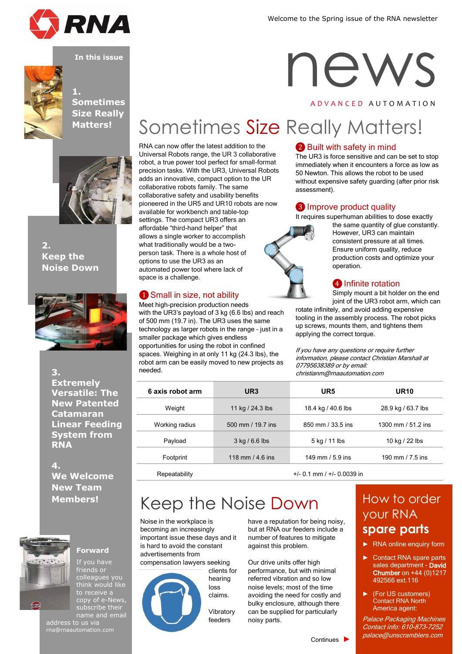

news

A D V A N C E D A U T O M A T I O N





### **1. Sometimes Size Really Matters!**



**2. Keep the Noise Down**



**3. Extremely Versatile: The New Patented Catamaran Linear Feeding System from RNA**

**4. We Welcome New Team Members!**



### **Forward**

If you have friends or colleagues you think would like to receive a copy of e-News, subscribe their name and email

address to us via rna@rnaautomation.com

#### RNA can now offer the latest addition to the Universal Robots range, the UR 3 collaborative robot, a true power tool perfect for small-format precision tasks. With the UR3, Universal Robots adds an innovative, compact option to the UR collaborative robots family. The same collaborative safety and usability benefits pioneered in the UR5 and UR10 robots are now available for workbench and table-top settings. The compact UR3 offers an affordable "third-hand helper" that allows a single worker to accomplish what traditionally would be a twoperson task. There is a whole host of options to use the UR3 as an

### **1** Small in size, not ability

automated power tool where lack of

space is a challenge.

Meet high-precision production needs with the UR3's payload of 3 kg (6.6 lbs) and reach of 500 mm (19.7 in). The UR3 uses the same technology as larger robots in the range – just in a smaller package which gives endless opportunities for using the robot in confined spaces. Weighing in at only 11 kg (24.3 lbs), the robot arm can be easily moved to new projects as needed.

### ❷ Built with safety in mind

The UR3 is force sensitive and can be set to stop immediately when it encounters a force as low as 50 Newton. This allows the robot to be used without expensive safety guarding (after prior risk assessment).

### ❸ Improve product quality

It requires superhuman abilities to dose exactly



Sometimes Size Really Matters!

the same quantity of glue constantly. However, UR3 can maintain consistent pressure at all times. Ensure uniform quality, reduce production costs and optimize your operation.

### **4** Infinite rotation

Simply mount a bit holder on the end joint of the UR3 robot arm, which can

rotate infinitely, and avoid adding expensive tooling in the assembly process. The robot picks up screws, mounts them, and tightens them applying the correct torque.

If you have any questions or require further information, please contact Christian Marshall at 07795638389 or by email: christianm@rnaautomation.com

| 6 axis robot arm | UR <sub>3</sub>   | UR5                | <b>UR10</b>        |
|------------------|-------------------|--------------------|--------------------|
| Weight           | 11 kg / 24.3 lbs  | 18.4 kg / 40.6 lbs | 28.9 kg / 63.7 lbs |
| Working radius   | 500 mm / 19.7 ins | 850 mm / 33.5 ins  | 1300 mm / 51.2 ins |
| Payload          | $3$ kg / 6.6 lbs  | 5 kg / 11 lbs      | 10 kg / 22 lbs     |
| Footprint        | 118 mm / 4.6 ins  | 149 mm $/5.9$ ins  | 190 mm / $7.5$ ins |
|                  |                   |                    |                    |

Repeatability +/- 0.1 mm / +/- 0.0039 in

Continues ►

## [Keep the Noise Down](http://www.rnaautomation.com/blog/universal-robots-introduce-the-new-ur3-collaborative-robots/) How to order

Noise in the workplace is becoming an increasingly important issue these days and it is hard to avoid the constant advertisements from

compensation lawyers seeking



clients for hearing loss claims.

Vibratory feeders

have a reputation for being noisy, but at RNA our feeders include a number of features to mitigate against this problem.

Our drive units offer high performance, but with minimal referred vibration and so low noise levels; most of the time avoiding the need for costly and bulky enclosure, although there can be supplied for particularly noisy parts.

# your RNA **spare parts**

- ► RNA online enquiry form
- Contact RNA spare parts sales department - David Chumber on +44 (0)1217 492566 ext.116
- ► (For US customers) Contact RNA North America agent:

Palace Packaging Machines Contact info: 610-873-7252 palace@unscramblers.com